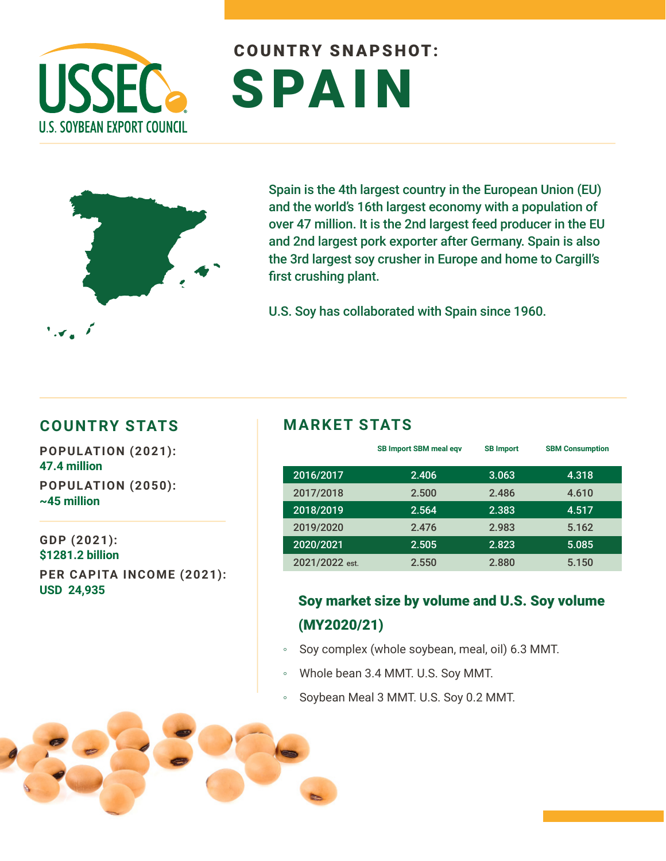

# COUNTRY SNAPSHOT: SPAIN



Spain is the 4th largest country in the European Union (EU) and the world's 16th largest economy with a population of over 47 million. It is the 2nd largest feed producer in the EU and 2nd largest pork exporter after Germany. Spain is also the 3rd largest soy crusher in Europe and home to Cargill's first crushing plant.

U.S. Soy has collaborated with Spain since 1960.

#### **COUNTRY STATS MARKET STATS**

**POPULATION (2021): 47.4 million POPULATION (2050): ~45 million** 

**GDP (2021): \$1281.2 billion PER CAPITA INCOME (2021): USD 24,935**

|                | <b>SB Import SBM meal eqv</b> | <b>SB Import</b> | <b>SBM Consumption</b> |
|----------------|-------------------------------|------------------|------------------------|
| 2016/2017      | 2.406                         | 3.063            | 4.318                  |
| 2017/2018      | 2.500                         | 2.486            | 4.610                  |
| 2018/2019      | 2.564                         | 2.383            | 4.517                  |
| 2019/2020      | 2.476                         | 2.983            | 5.162                  |
| 2020/2021      | 2.505                         | 2.823            | 5.085                  |
| 2021/2022 est. | 2.550                         | 2.880            | 5.150                  |

#### Soy market size by volume and U.S. Soy volume (MY2020/21)

- Soy complex (whole soybean, meal, oil) 6.3 MMT.
- Whole bean 3.4 MMT. U.S. Soy MMT.
- Soybean Meal 3 MMT. U.S. Soy 0.2 MMT.